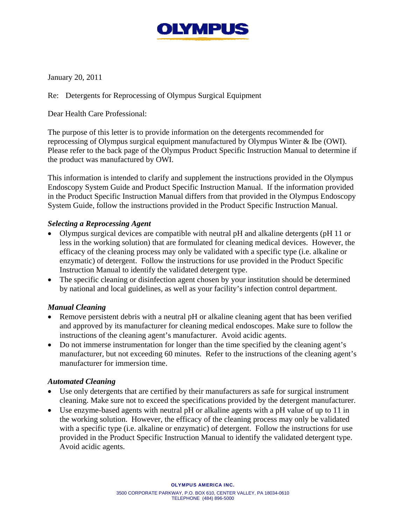

January 20, 2011

Re: Detergents for Reprocessing of Olympus Surgical Equipment

Dear Health Care Professional:

The purpose of this letter is to provide information on the detergents recommended for reprocessing of Olympus surgical equipment manufactured by Olympus Winter & Ibe (OWI). Please refer to the back page of the Olympus Product Specific Instruction Manual to determine if the product was manufactured by OWI.

This information is intended to clarify and supplement the instructions provided in the Olympus Endoscopy System Guide and Product Specific Instruction Manual. If the information provided in the Product Specific Instruction Manual differs from that provided in the Olympus Endoscopy System Guide, follow the instructions provided in the Product Specific Instruction Manual.

## *Selecting a Reprocessing Agent*

- Olympus surgical devices are compatible with neutral pH and alkaline detergents (pH 11 or less in the working solution) that are formulated for cleaning medical devices. However, the efficacy of the cleaning process may only be validated with a specific type (i.e. alkaline or enzymatic) of detergent. Follow the instructions for use provided in the Product Specific Instruction Manual to identify the validated detergent type.
- The specific cleaning or disinfection agent chosen by your institution should be determined by national and local guidelines, as well as your facility's infection control department.

## *Manual Cleaning*

- Remove persistent debris with a neutral pH or alkaline cleaning agent that has been verified and approved by its manufacturer for cleaning medical endoscopes. Make sure to follow the instructions of the cleaning agent's manufacturer. Avoid acidic agents.
- Do not immerse instrumentation for longer than the time specified by the cleaning agent's manufacturer, but not exceeding 60 minutes. Refer to the instructions of the cleaning agent's manufacturer for immersion time.

## *Automated Cleaning*

- Use only detergents that are certified by their manufacturers as safe for surgical instrument cleaning. Make sure not to exceed the specifications provided by the detergent manufacturer.
- Use enzyme-based agents with neutral pH or alkaline agents with a pH value of up to 11 in the working solution. However, the efficacy of the cleaning process may only be validated with a specific type (i.e. alkaline or enzymatic) of detergent. Follow the instructions for use provided in the Product Specific Instruction Manual to identify the validated detergent type. Avoid acidic agents.